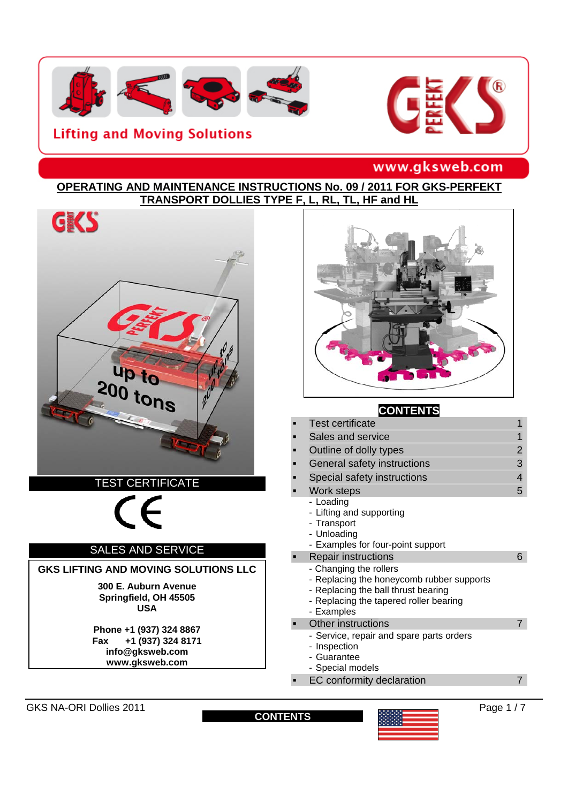





# www.gksweb.com

#### **OPERATING AND MAINTENANCE INSTRUCTIONS No. 09 / 2011 FOR GKS-PERFEKT TRANSPORT DOLLIES TYPE F, L, RL, TL, HF and HL**



#### SALES AND SERVICE

#### **GKS LIFTING AND MOVING SOLUTIONS LLC**

**300 E. Auburn Avenue Springfield, OH 45505 USA** 

**Phone +1 (937) 324 8867 Fax +1 (937) 324 8171 info@gksweb.com www.gksweb.com** 



#### **CONTENTS**

|   | <b>Test certificate</b>                                                                                                                                            | 1 |
|---|--------------------------------------------------------------------------------------------------------------------------------------------------------------------|---|
|   | Sales and service                                                                                                                                                  | 1 |
| п | Outline of dolly types                                                                                                                                             | 2 |
| п | General safety instructions                                                                                                                                        | 3 |
| ■ | Special safety instructions                                                                                                                                        | 4 |
| ■ | Work steps                                                                                                                                                         | 5 |
|   | - Loading<br>- Lifting and supporting<br>- Transport<br>- Unloading<br>- Examples for four-point support                                                           |   |
|   | <b>Repair instructions</b>                                                                                                                                         | 6 |
|   | - Changing the rollers<br>- Replacing the honeycomb rubber supports<br>- Replacing the ball thrust bearing<br>- Replacing the tapered roller bearing<br>- Examples |   |
|   | <b>Other instructions</b>                                                                                                                                          |   |
|   | - Service, repair and spare parts orders<br>- Inspection<br>- Guarantee<br>- Special models                                                                        |   |
|   | EC conformity declaration                                                                                                                                          |   |

GKS NA-ORI Dollies 2011 **Page 1 / 7 CONTENTS Page 1 / 7 Page 1 / 7** 

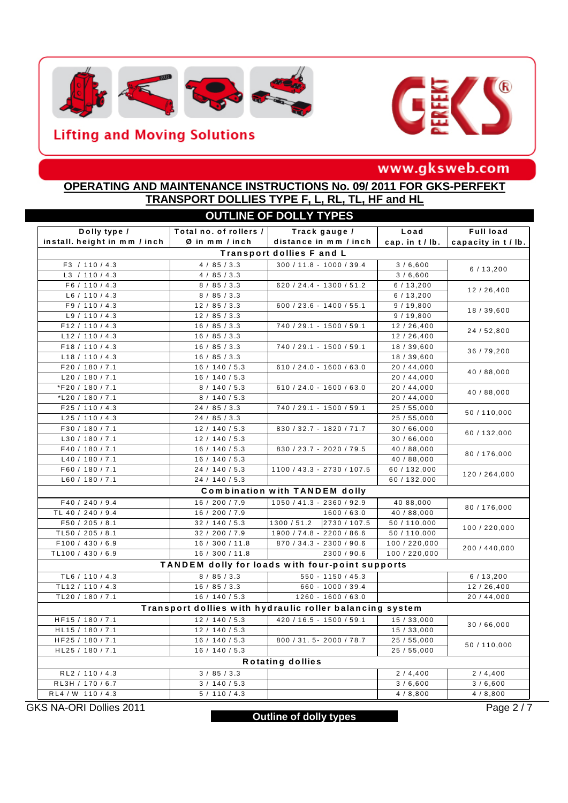



# www.gksweb.com

#### **OPERATING AND MAINTENANCE INSTRUCTIONS No. 09/ 2011 FOR GKS-PERFEKT TRANSPORT DOLLIES TYPE F, L, RL, TL, HF and HL**

| <b>OUTLINE OF DOLLY TYPES</b>                   |                        |                                                          |                 |                       |  |  |  |  |
|-------------------------------------------------|------------------------|----------------------------------------------------------|-----------------|-----------------------|--|--|--|--|
| Dolly type /                                    | Total no. of rollers / | Track gauge /                                            | Load            | Full load             |  |  |  |  |
| install. height in mm / inch                    | Ø in mm / inch         | distance in mm / inch                                    | cap. in t / lb. | capacity in t / lb.   |  |  |  |  |
| Transport dollies F and L                       |                        |                                                          |                 |                       |  |  |  |  |
| F3 / 110 / 4.3                                  | 4 / 85 / 3.3           | $300 / 11.8 - 1000 / 39.4$                               | 3/6,600         | 6/13,200              |  |  |  |  |
| L3 / 110 / 4.3                                  | 4 / 85 / 3.3           |                                                          | 3/6,600         |                       |  |  |  |  |
| F6 / 110 / 4.3                                  | 8 / 85 / 3.3           | 620 / 24.4 - 1300 / 51.2                                 | 6/13,200        | 12/26,400             |  |  |  |  |
| L6 / 110 / 4.3                                  | 8 / 85 / 3.3           |                                                          | 6/13,200        |                       |  |  |  |  |
| F9 / 110 / 4.3                                  | 12 / 85 / 3.3          | $600 / 23.6 - 1400 / 55.1$                               | 9/19,800        | 18 / 39,600           |  |  |  |  |
| L9 / 110 / 4.3                                  | 12 / 85 / 3.3          |                                                          | 9/19,800        |                       |  |  |  |  |
| F12 / 110 / 4.3                                 | 16 / 85 / 3.3          | 740 / 29.1 - 1500 / 59.1                                 | 12/26,400       | 24 / 52,800           |  |  |  |  |
| L12 / 110 / 4.3                                 | 16 / 85 / 3.3          |                                                          | 12/26,400       |                       |  |  |  |  |
| F18 / 110 / 4.3                                 | 16 / 85 / 3.3          | 740 / 29.1 - 1500 / 59.1                                 | 18 / 39,600     | 36 / 79,200           |  |  |  |  |
| L18 / 110 / 4.3                                 | 16 / 85 / 3.3          |                                                          | 18 / 39,600     |                       |  |  |  |  |
| F20 / 180 / 7.1                                 | 16 / 140 / 5.3         | $610 / 24.0 - 1600 / 63.0$                               | 20 / 44,000     | 40 / 88,000           |  |  |  |  |
| L20 / 180 / 7.1                                 | 16 / 140 / 5.3         |                                                          | 20 / 44,000     |                       |  |  |  |  |
| *F20 / 180 / 7.1                                | 8 / 140 / 5.3          | $610 / 24.0 - 1600 / 63.0$                               | 20 / 44,000     | 40 / 88,000           |  |  |  |  |
| *L20 / 180 / 7.1                                | 8 / 140 / 5.3          |                                                          | 20 / 44,000     |                       |  |  |  |  |
| F25 / 110 / 4.3                                 | 24 / 85 / 3.3          | 740 / 29.1 - 1500 / 59.1                                 | 25 / 55,000     | 50 / 110,000          |  |  |  |  |
| L25 / 110 / 4.3                                 | 24 / 85 / 3.3          |                                                          | 25 / 55,000     |                       |  |  |  |  |
| F30 / 180 / 7.1                                 | 12 / 140 / 5.3         | 830 / 32.7 - 1820 / 71.7                                 | 30/66,000       | 60 / 132,000          |  |  |  |  |
| L30 / 180 / 7.1                                 | 12 / 140 / 5.3         |                                                          | 30/66,000       |                       |  |  |  |  |
| F40 / 180 / 7.1                                 | 16 / 140 / 5.3         | 830 / 23.7 - 2020 / 79.5                                 | 40 / 88,000     | 80 / 176,000          |  |  |  |  |
| L40 / 180 / 7.1                                 | 16 / 140 / 5.3         |                                                          | 40 / 88,000     |                       |  |  |  |  |
| F60 / 180 / 7.1                                 | 24 / 140 / 5.3         | 1100 / 43.3 - 2730 / 107.5                               | 60 / 132,000    | 120 / 264,000         |  |  |  |  |
| L60 / 180 / 7.1                                 | 24 / 140 / 5.3         |                                                          | 60 / 132,000    |                       |  |  |  |  |
|                                                 |                        | <b>Combination with TANDEM dolly</b>                     |                 |                       |  |  |  |  |
| F40 / 240 / 9.4                                 | 16 / 200 / 7.9         | $1050 / 41.3 - 2360 / 92.9$                              | 40 88,000       | 80 / 176,000          |  |  |  |  |
| TL 40 / 240 / 9.4                               | 16 / 200 / 7.9         | 1600 / 63.0                                              | 40 / 88,000     |                       |  |  |  |  |
| F50 / 205 / 8.1                                 | 32 / 140 / 5.3         | 1300 / 51.2<br>2730 / 107.5                              | 50 / 110,000    | 100 / 220,000         |  |  |  |  |
| TL50 / 205 / 8.1                                | 32 / 200 / 7.9         | 1900 / 74.8 - 2200 / 86.6                                | 50 / 110,000    |                       |  |  |  |  |
| F100 / 430 / 6.9                                | 16 / 300 / 11.8        | 870 / 34.3 - 2300 / 90.6                                 | 100 / 220,000   | 200 / 440,000         |  |  |  |  |
| TL100 / 430 / 6.9                               | 16 / 300 / 11.8        | 2300 / 90.6                                              | 100 / 220,000   |                       |  |  |  |  |
| TANDEM dolly for loads with four-point supports |                        |                                                          |                 |                       |  |  |  |  |
| TL6 / 110 / 4.3                                 | 8 / 85 / 3.3           | $550 - 1150 / 45.3$                                      |                 | 6/13,200              |  |  |  |  |
| TL12 / 110 / 4.3                                | 16 / 85 / 3.3          | 660 - 1000 / 39.4                                        |                 | 12/26,400             |  |  |  |  |
| TL20 / 180 / 7.1                                | 16 / 140 / 5.3         | $1260 - 1600 / 63.0$                                     |                 | 20 / 44,000           |  |  |  |  |
|                                                 |                        | Transport dollies with hydraulic roller balancing system |                 |                       |  |  |  |  |
| HF15 / 180 / 7.1                                | 12 / 140 / 5.3         | 420 / 16.5 - 1500 / 59.1                                 | 15/33,000       | 30/66,000             |  |  |  |  |
| HL15 / 180 / 7.1                                | 12 / 140 / 5.3         |                                                          | 15/33,000       |                       |  |  |  |  |
| HF25 / 180 / 7.1                                | 16 / 140 / 5.3         | $800 / 31.5 - 2000 / 78.7$                               | 25/55,000       |                       |  |  |  |  |
| HL25 / 180 / 7.1                                | 16 / 140 / 5.3         |                                                          | 25/55,000       | 50 / 110,000          |  |  |  |  |
| <b>Rotating dollies</b>                         |                        |                                                          |                 |                       |  |  |  |  |
| RL2 / 110 / 4.3                                 | 3 / 85 / 3.3           |                                                          | 2/4,400         | 2/4,400               |  |  |  |  |
| RL3H / 170 / 6.7                                | 3 / 140 / 5.3          |                                                          | 3/6,600         | 3/6,600               |  |  |  |  |
| RL4 / W 110 / 4.3                               | 5/110/4.3              |                                                          | 4/8,800         | 4/8,800               |  |  |  |  |
| GKS NA-ORI Dollies 2011                         |                        |                                                          |                 | Page $2/\overline{7}$ |  |  |  |  |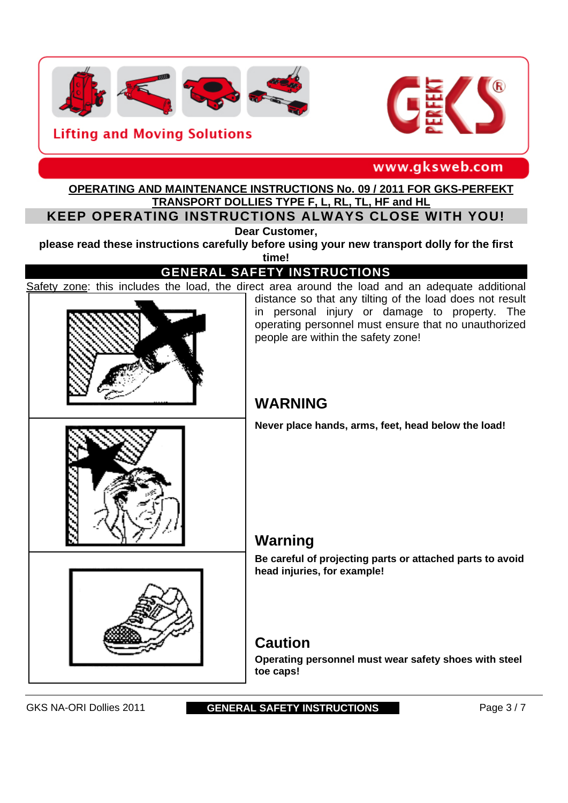



www.gksweb.com

#### **OPERATING AND MAINTENANCE INSTRUCTIONS No. 09 / 2011 FOR GKS-PERFEKT TRANSPORT DOLLIES TYPE F, L, RL, TL, HF and HL**

**KEEP OPERATING INSTRUCTIONS ALWAYS CLOSE WITH YOU!**

**Dear Customer,** 

**please read these instructions carefully before using your new transport dolly for the first** 

**time!**

## **GENERAL SAFETY INSTRUCTIONS**

Safety zone: this includes the load, the direct area around the load and an adequate additional



distance so that any tilting of the load does not result in personal injury or damage to property. The operating personnel must ensure that no unauthorized people are within the safety zone!

# **WARNING**

**Never place hands, arms, feet, head below the load!** 

# **Warning**

**Be careful of projecting parts or attached parts to avoid head injuries, for example!** 

# **Caution**

**Operating personnel must wear safety shoes with steel toe caps!** 

#### GKS NA-ORI Dollies 2011 **GENERAL SAFETY INSTRUCTIONS** Page 3 / 7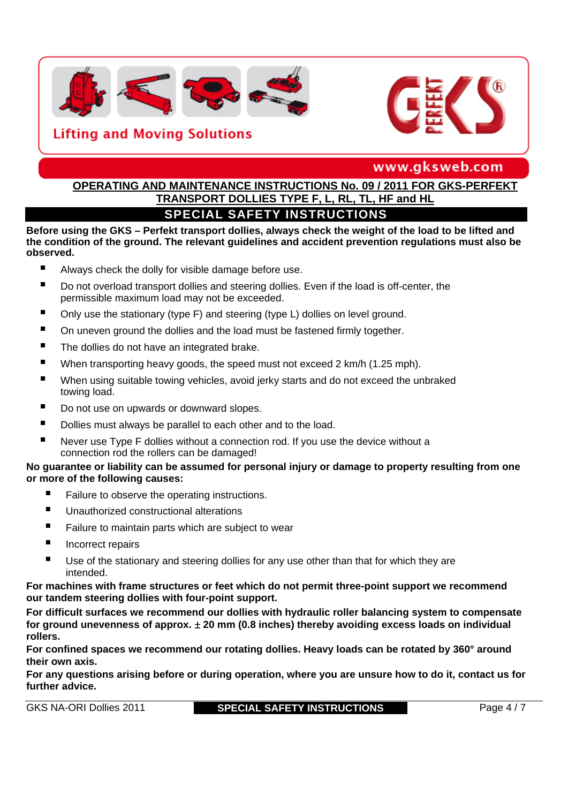



www.gksweb.com

# **OPERATING AND MAINTENANCE INSTRUCTIONS No. 09 / 2011 FOR GKS-PERFEKT TRANSPORT DOLLIES TYPE F, L, RL, TL, HF and HL**

**SPECIAL SAFETY INSTRUCTIONS Before using the GKS – Perfekt transport dollies, always check the weight of the load to be lifted and the condition of the ground. The relevant guidelines and accident prevention regulations must also be** 

#### **observed.**

- Always check the dolly for visible damage before use.
- Do not overload transport dollies and steering dollies. Even if the load is off-center, the permissible maximum load may not be exceeded.
- Only use the stationary (type F) and steering (type L) dollies on level ground.
- On uneven ground the dollies and the load must be fastened firmly together.
- The dollies do not have an integrated brake.
- When transporting heavy goods, the speed must not exceed 2 km/h (1.25 mph).
- When using suitable towing vehicles, avoid jerky starts and do not exceed the unbraked towing load.
- Do not use on upwards or downward slopes.
- Dollies must always be parallel to each other and to the load.
- Never use Type F dollies without a connection rod. If you use the device without a connection rod the rollers can be damaged!

#### **No guarantee or liability can be assumed for personal injury or damage to property resulting from one or more of the following causes:**

- Failure to observe the operating instructions.
- Unauthorized constructional alterations
- Failure to maintain parts which are subject to wear
- **Incorrect repairs**
- Use of the stationary and steering dollies for any use other than that for which they are intended.

**For machines with frame structures or feet which do not permit three-point support we recommend our tandem steering dollies with four-point support.** 

**For difficult surfaces we recommend our dollies with hydraulic roller balancing system to compensate for ground unevenness of approx. 20 mm (0.8 inches) thereby avoiding excess loads on individual rollers.** 

**For confined spaces we recommend our rotating dollies. Heavy loads can be rotated by 360° around their own axis.** 

**For any questions arising before or during operation, where you are unsure how to do it, contact us for further advice.**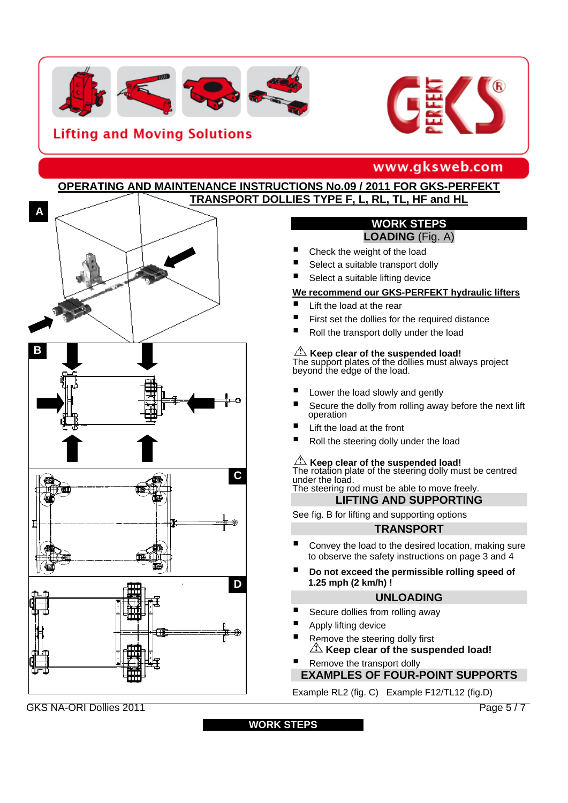



# www.gksweb.com

#### **TRANSPORT DOLLIES TYPE F, L, RL, TL, HF and HL OPERATING AND MAINTENANCE INSTRUCTIONS No.09 / 2011 FOR GKS-PERFEKT**



#### **WORK STEPS LOADING** (Fig. A)

- Check the weight of the load
- Select a suitable transport dolly
- Select a suitable lifting device

#### **We recommend our GKS-PERFEKT hydraulic lifters**

- Lift the load at the rear
- First set the dollies for the required distance
- Roll the transport dolly under the load

 **Keep clear of the suspended load!** The support plates of the dollies must always project beyond the edge of the load.

- Lower the load slowly and gently
- Secure the dolly from rolling away before the next lift operation
- Lift the load at the front
- Roll the steering dolly under the load

**A Keep clear of the suspended load!**<br>The rotation plate of the steering dolly must be centred under the load. The steering rod must be able to move freely.

**LIFTING AND SUPPORTING** 

See fig. B for lifting and supporting options

#### **TRANSPORT**

- Convey the load to the desired location, making sure to observe the safety instructions on page 3 and 4
- **Do not exceed the permissible rolling speed of 1.25 mph (2 km/h) !**

#### **UNLOADING**

- Secure dollies from rolling away
- Apply lifting device
- Remove the steering dolly first **Keep clear of the suspended load!**
- Remove the transport dolly

# **EXAMPLES OF FOUR-POINT SUPPORTS**

Example RL2 (fig. C) Example F12/TL12 (fig.D)

GGKSKS NA-ORI Dollies 2011 Page 5 / 7 GKS NA-ORI Dollies 2011

**WORK STEPS**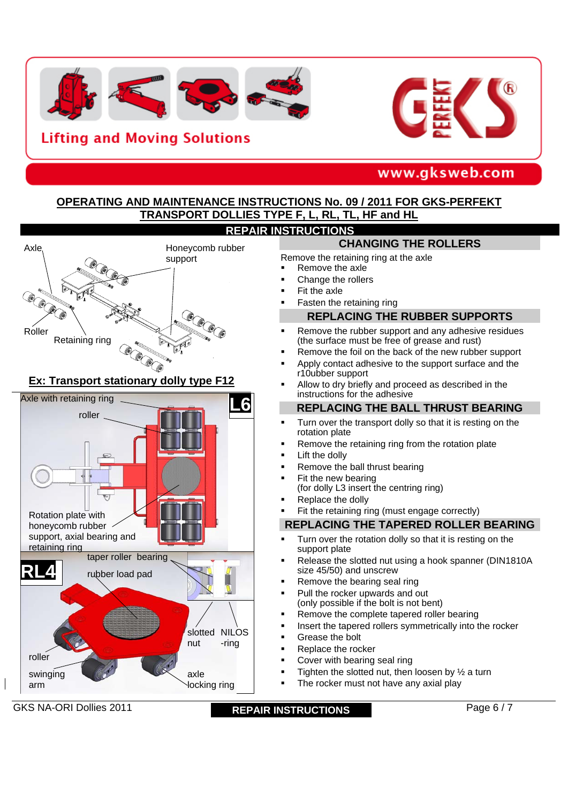



# www.gksweb.com

#### **OPERATING AND MAINTENANCE INSTRUCTIONS No. 09 / 2011 FOR GKS-PERFEKT TRANSPORT DOLLIES TYPE F, L, RL, TL, HF and HL REPAIR INSTRUCTIONS**



#### **Ex: Transport stationary dolly type F12**



GKS NA-ORI Dollies 2011 **REPAIR INSTRUCTIONS** Page 6 / 7

## **CHANGING THE ROLLERS**

Remove the retaining ring at the axle

- Remove the axle
- Change the rollers
- Fit the axle
- Fasten the retaining ring

#### **REPLACING THE RUBBER SUPPORTS**

- Remove the rubber support and any adhesive residues (the surface must be free of grease and rust)
- Remove the foil on the back of the new rubber support
- Apply contact adhesive to the support surface and the r10ubber support
- Allow to dry briefly and proceed as described in the instructions for the adhesive

#### **REPLACING THE BALL THRUST BEARING**

- Turn over the transport dolly so that it is resting on the rotation plate
- Remove the retaining ring from the rotation plate
- Lift the dolly
- Remove the ball thrust bearing
- Fit the new bearing
- (for dolly L3 insert the centring ring)
- Replace the dolly
- Fit the retaining ring (must engage correctly)

#### **REPLACING THE TAPERED ROLLER BEARING**

- Turn over the rotation dolly so that it is resting on the support plate
- Release the slotted nut using a hook spanner (DIN1810A size 45/50) and unscrew
- Remove the bearing seal ring
- Pull the rocker upwards and out (only possible if the bolt is not bent)
- Remove the complete tapered roller bearing
- **Insert the tapered rollers symmetrically into the rocker**
- Grease the bolt
- Replace the rocker
- Cover with bearing seal ring
- Tighten the slotted nut, then loosen by  $\frac{1}{2}$  a turn
- The rocker must not have any axial play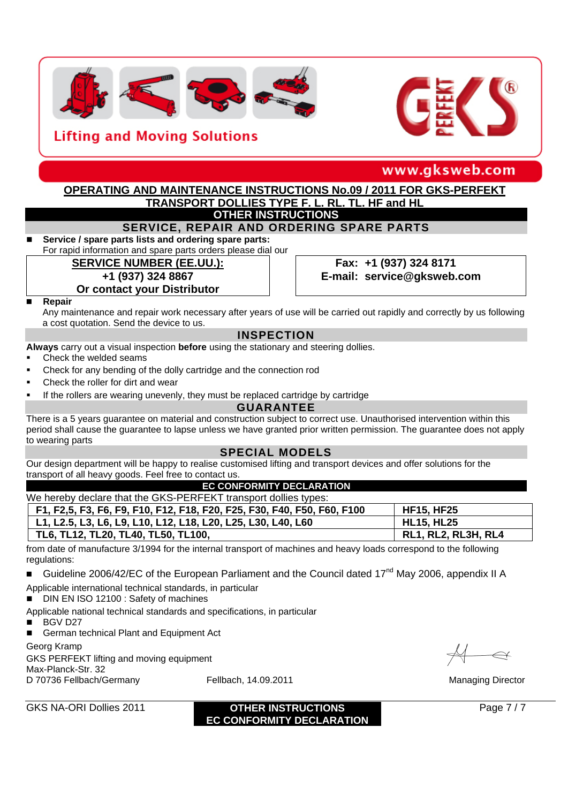



www.gksweb.com

#### **OTHER INSTRUCTIONS OPERATING AND MAINTENANCE INSTRUCTIONS No.09 / 2011 FOR GKS-PERFEKT TRANSPORT DOLLIES TYPE F, L, RL, TL, HF and HL**

#### **SERVICE, REPAIR AND ORDERING SPARE PARTS**

#### **Service / spare parts lists and ordering spare parts:**

For rapid information and spare parts orders please dial our

## **SERVICE NUMBER (EE.UU.): Fax: +1 (937) 324 8171**

#### **+1 (937) 324 8867**

# **Or contact your Distributor E-mail: service@gksweb.com**

#### **Repair**

Any maintenance and repair work necessary after years of use will be carried out rapidly and correctly by us following a cost quotation. Send the device to us.

#### **INSPECTION**

**Always** carry out a visual inspection **before** using the stationary and steering dollies.

- Check the welded seams
- Check for any bending of the dolly cartridge and the connection rod
- Check the roller for dirt and wear
- If the rollers are wearing unevenly, they must be replaced cartridge by cartridge

#### **GUARANTEE**

There is a 5 years guarantee on material and construction subject to correct use. Unauthorised intervention within this period shall cause the guarantee to lapse unless we have granted prior written permission. The guarantee does not apply to wearing parts

#### **SPECIAL MODELS**

Our design department will be happy to realise customised lifting and transport devices and offer solutions for the transport of all heavy goods. Feel free to contact us.

#### **EC CONFORMITY DECLARATION**

| We hereby declare that the GKS-PERFEKT transport dollies types:         |                            |  |  |  |  |  |  |
|-------------------------------------------------------------------------|----------------------------|--|--|--|--|--|--|
| F1, F2,5, F3, F6, F9, F10, F12, F18, F20, F25, F30, F40, F50, F60, F100 | <b>HF15, HF25</b>          |  |  |  |  |  |  |
| L1, L2.5, L3, L6, L9, L10, L12, L18, L20, L25, L30, L40, L60            | <b>HL15, HL25</b>          |  |  |  |  |  |  |
| TL6, TL12, TL20, TL40, TL50, TL100,                                     | <b>RL1, RL2, RL3H, RL4</b> |  |  |  |  |  |  |

from date of manufacture 3/1994 for the internal transport of machines and heavy loads correspond to the following regulations:

■ Guideline 2006/42/EC of the European Parliament and the Council dated 17<sup>nd</sup> May 2006, appendix II A

Applicable international technical standards, in particular

■ DIN EN ISO 12100 : Safety of machines

Applicable national technical standards and specifications, in particular

■ BGV D27

German technical Plant and Equipment Act

Georg Kramp

GKS PERFEKT lifting and moving equipment Max-Planck-Str. 32 D 70736 Fellbach/Germany Fellbach, 14.09.2011 Managing Director

 $\iff$ 

GKS NA-ORI Dollies 2011 **DESCRIPTIONS Page 7/7 EC CONFORMITY DECLARATION**